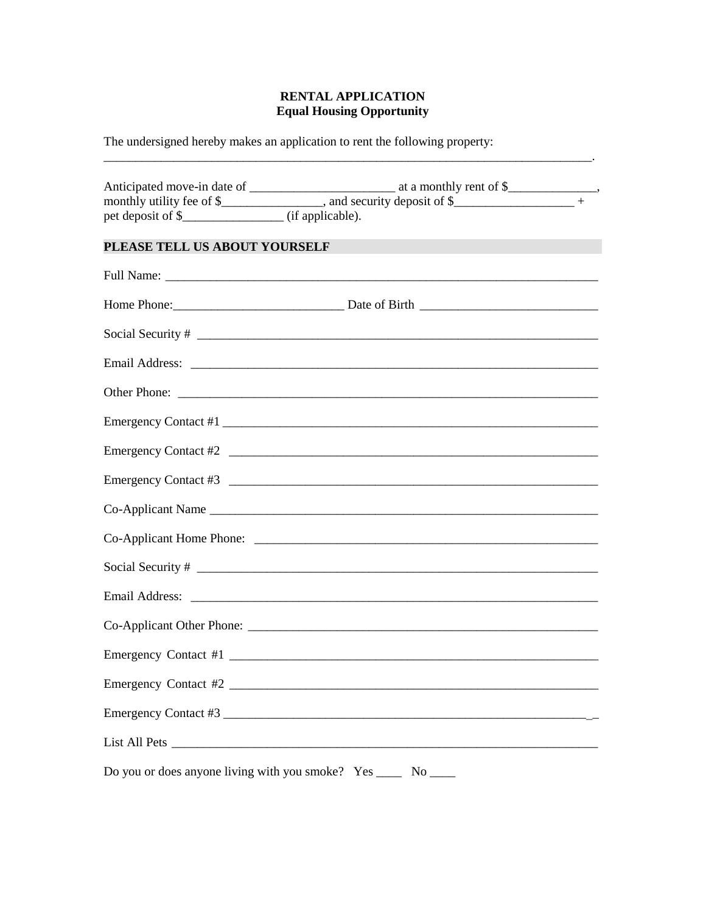## **RENTAL APPLICATION Equal Housing Opportunity**

 $\mathcal{L} = \mathcal{L} \mathcal{L} = \mathcal{L} \mathcal{L}$ 

The undersigned hereby makes an application to rent the following property:

| PLEASE TELL US ABOUT YOURSELF | <u> 1990 - Johann Barn, mars an t-Amerikaansk kommunister (</u>                                               |  |
|-------------------------------|---------------------------------------------------------------------------------------------------------------|--|
|                               |                                                                                                               |  |
|                               |                                                                                                               |  |
|                               |                                                                                                               |  |
|                               |                                                                                                               |  |
|                               |                                                                                                               |  |
|                               | Emergency Contact #1                                                                                          |  |
|                               | Emergency Contact #2                                                                                          |  |
|                               | Emergency Contact #3                                                                                          |  |
|                               |                                                                                                               |  |
|                               |                                                                                                               |  |
|                               |                                                                                                               |  |
|                               | Email Address: 2008. 2009. 2009. 2009. 2010. 2010. 2010. 2010. 2010. 2010. 2010. 2010. 2010. 2010. 2010. 2010 |  |
|                               |                                                                                                               |  |
|                               |                                                                                                               |  |
| Emergency Contact #2          |                                                                                                               |  |
|                               | Emergency Contact #3                                                                                          |  |
|                               |                                                                                                               |  |
|                               | Do you or does anyone living with you smoke? Yes ______ No _____                                              |  |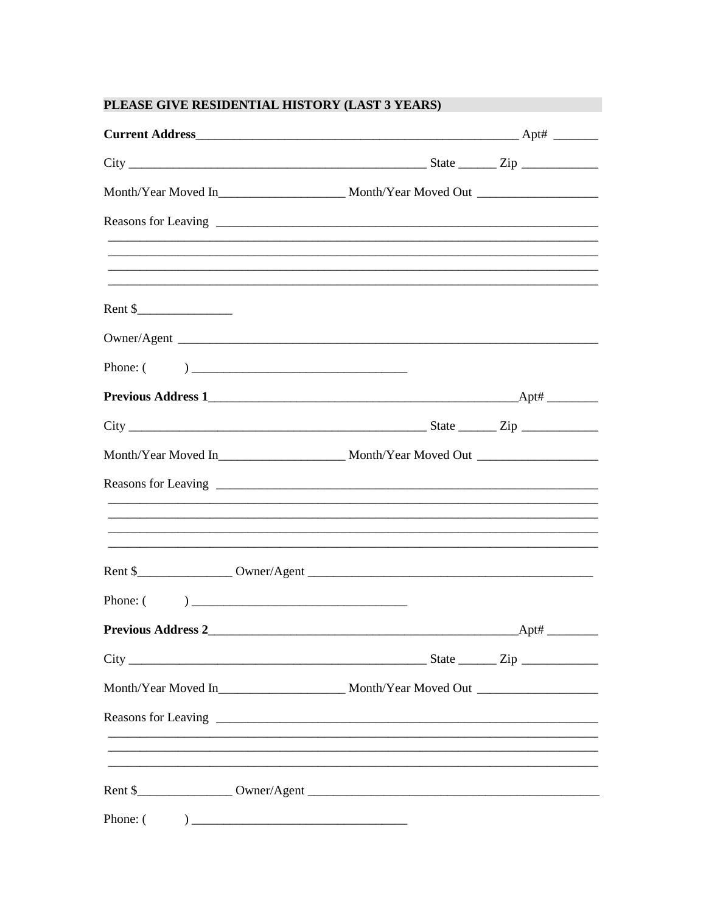# PLEASE GIVE RESIDENTIAL HISTORY (LAST 3 YEARS)

|                           | $City$ $\rule{1em}{0.15mm}$ $\rule{1em}{0.15mm}$ $\qquad \qquad \text{State}$ $\rule{1em}{0.15mm}$ $\qquad \qquad \text{State}$ $\rule{1em}{0.15mm}$ $\qquad \qquad \text{Right}$ |  |
|---------------------------|-----------------------------------------------------------------------------------------------------------------------------------------------------------------------------------|--|
|                           |                                                                                                                                                                                   |  |
|                           |                                                                                                                                                                                   |  |
|                           |                                                                                                                                                                                   |  |
|                           | ,我们也不能在这里的人,我们也不能在这里的人,我们也不能不能不能不能不能不能不能不能不能不能。""我们的人,我们也不能不能不能不能不能不能不能不能不能不能不能不                                                                                                  |  |
| Rent $\frac{\sqrt{2}}{2}$ |                                                                                                                                                                                   |  |
|                           |                                                                                                                                                                                   |  |
|                           |                                                                                                                                                                                   |  |
|                           |                                                                                                                                                                                   |  |
|                           |                                                                                                                                                                                   |  |
|                           |                                                                                                                                                                                   |  |
|                           |                                                                                                                                                                                   |  |
|                           |                                                                                                                                                                                   |  |
|                           |                                                                                                                                                                                   |  |
|                           |                                                                                                                                                                                   |  |
|                           |                                                                                                                                                                                   |  |
|                           |                                                                                                                                                                                   |  |
|                           | $City$ $\rule{1em}{0.15mm}$ $\rule{1em}{0.15mm}$ $\qquad \qquad$ $\qquad \qquad$ $\qquad \qquad$ $Step$ $\rule{1em}{0.15mm}$ $\rule{1em}{0.15mm}$                                 |  |
|                           |                                                                                                                                                                                   |  |
|                           |                                                                                                                                                                                   |  |
|                           | <u> 1989 - Johann Stoff, deutscher Stoff, der Stoff, der Stoff, der Stoff, der Stoff, der Stoff, der Stoff, der S</u>                                                             |  |
|                           | <u> 1989 - Jan Barnett, fransk politik (d. 1989)</u>                                                                                                                              |  |
|                           |                                                                                                                                                                                   |  |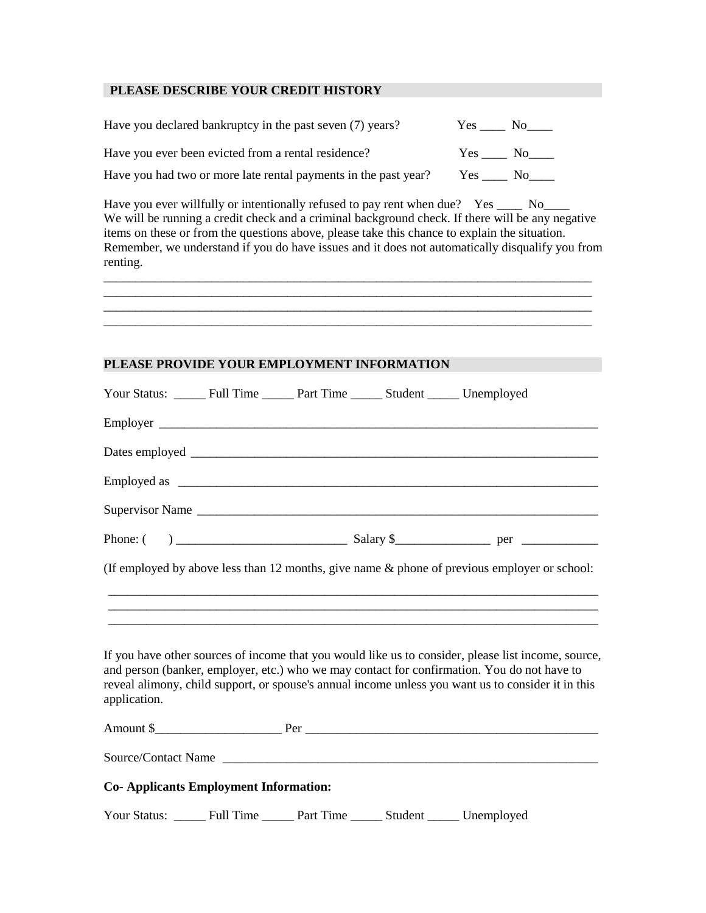#### **PLEASE DESCRIBE YOUR CREDIT HISTORY**

| Have you declared bankruptcy in the past seven (7) years?       | Yes    | No n                                                                                                            |
|-----------------------------------------------------------------|--------|-----------------------------------------------------------------------------------------------------------------|
| Have you ever been evicted from a rental residence?             | Yes    | No the set of the set of the set of the set of the set of the set of the set of the set of the set of the set o |
| Have you had two or more late rental payments in the past year? | Yes No |                                                                                                                 |

Have you ever willfully or intentionally refused to pay rent when due? Yes \_\_\_\_ No\_\_\_\_ We will be running a credit check and a criminal background check. If there will be any negative items on these or from the questions above, please take this chance to explain the situation. Remember, we understand if you do have issues and it does not automatically disqualify you from renting.

|  |  | ________ |
|--|--|----------|
|  |  |          |
|  |  |          |
|  |  |          |
|  |  |          |

## **PLEASE PROVIDE YOUR EMPLOYMENT INFORMATION**

| Your Status: _______ Full Time _______ Part Time _______ Student ______ Unemployed                                                                                                                                                                                                                                       |  |  |
|--------------------------------------------------------------------------------------------------------------------------------------------------------------------------------------------------------------------------------------------------------------------------------------------------------------------------|--|--|
|                                                                                                                                                                                                                                                                                                                          |  |  |
|                                                                                                                                                                                                                                                                                                                          |  |  |
|                                                                                                                                                                                                                                                                                                                          |  |  |
| Supervisor Name                                                                                                                                                                                                                                                                                                          |  |  |
|                                                                                                                                                                                                                                                                                                                          |  |  |
| (If employed by above less than 12 months, give name & phone of previous employer or school:                                                                                                                                                                                                                             |  |  |
|                                                                                                                                                                                                                                                                                                                          |  |  |
|                                                                                                                                                                                                                                                                                                                          |  |  |
| If you have other sources of income that you would like us to consider, please list income, source,<br>and person (banker, employer, etc.) who we may contact for confirmation. You do not have to<br>reveal alimony, child support, or spouse's annual income unless you want us to consider it in this<br>application. |  |  |
|                                                                                                                                                                                                                                                                                                                          |  |  |
| Source/Contact Name                                                                                                                                                                                                                                                                                                      |  |  |
| <b>Co-Applicants Employment Information:</b>                                                                                                                                                                                                                                                                             |  |  |
| Your Status: ______ Full Time ______ Part Time ______ Student ______ Unemployed                                                                                                                                                                                                                                          |  |  |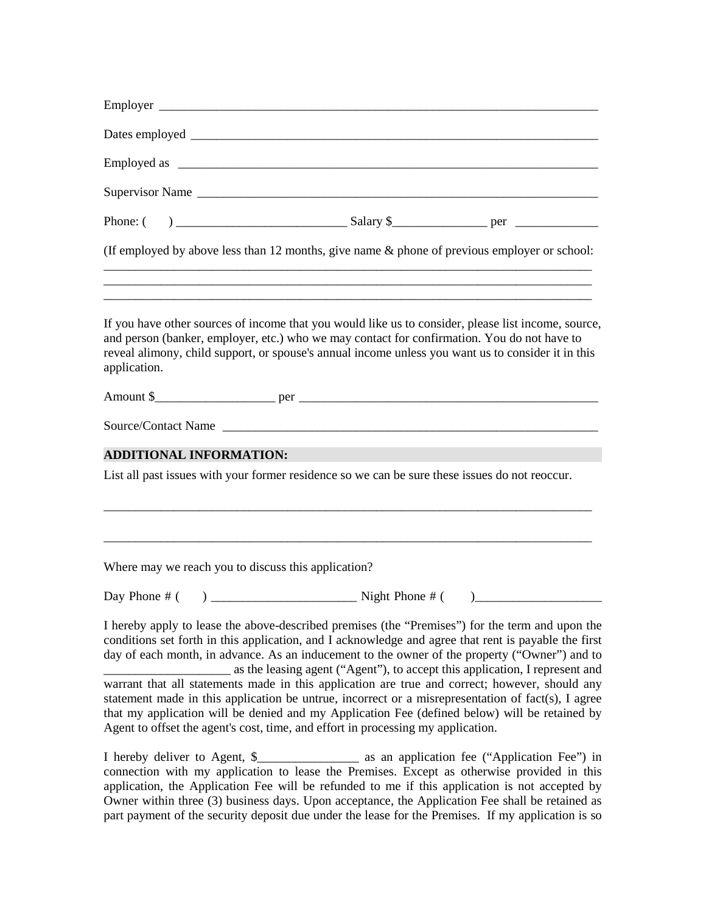| (If employed by above less than 12 months, give name $\&$ phone of previous employer or school:                                                                                                                                                                                                                                                                                                                                                    |
|----------------------------------------------------------------------------------------------------------------------------------------------------------------------------------------------------------------------------------------------------------------------------------------------------------------------------------------------------------------------------------------------------------------------------------------------------|
| <u> 1989 - Johann Harry Barn, mars and deutscher Stadt and deutscher Stadt and deutscher Stadt and deutscher Stadt</u><br>If you have other sources of income that you would like us to consider, please list income, source,<br>and person (banker, employer, etc.) who we may contact for confirmation. You do not have to<br>reveal alimony, child support, or spouse's annual income unless you want us to consider it in this<br>application. |
|                                                                                                                                                                                                                                                                                                                                                                                                                                                    |
|                                                                                                                                                                                                                                                                                                                                                                                                                                                    |
| <b>ADDITIONAL INFORMATION:</b>                                                                                                                                                                                                                                                                                                                                                                                                                     |
| List all past issues with your former residence so we can be sure these issues do not reoccur.                                                                                                                                                                                                                                                                                                                                                     |
|                                                                                                                                                                                                                                                                                                                                                                                                                                                    |
| Where may we reach you to discuss this application?                                                                                                                                                                                                                                                                                                                                                                                                |
| $\begin{picture}(20,10) \put(0,0){\line(1,0){10}} \put(15,0){\line(1,0){10}} \put(15,0){\line(1,0){10}} \put(15,0){\line(1,0){10}} \put(15,0){\line(1,0){10}} \put(15,0){\line(1,0){10}} \put(15,0){\line(1,0){10}} \put(15,0){\line(1,0){10}} \put(15,0){\line(1,0){10}} \put(15,0){\line(1,0){10}} \put(15,0){\line(1,0){10}} \put(15,0){\line(1$                                                                                                |
| I hereby apply to lease the above-described premises (the "Premises") for the term and upon the<br>conditions set forth in this application, and I acknowledge and agree that rent is payable the first<br>day of each month, in advance. As an inducement to the owner of the property ("Owner") and to<br>as the leasing agent ("Agent"), to accept this application, I represent and                                                            |
| warrant that all statements made in this application are true and correct; however, should any<br>statement made in this application be untrue, incorrect or a misrepresentation of fact(s), I agree<br>that my application will be denied and my Application Fee (defined below) will be retained by                                                                                                                                              |

I hereby deliver to Agent, \$\_\_\_\_\_\_\_\_\_\_\_\_\_\_\_\_ as an application fee ("Application Fee") in connection with my application to lease the Premises. Except as otherwise provided in this application, the Application Fee will be refunded to me if this application is not accepted by Owner within three (3) business days. Upon acceptance, the Application Fee shall be retained as part payment of the security deposit due under the lease for the Premises. If my application is so

Agent to offset the agent's cost, time, and effort in processing my application.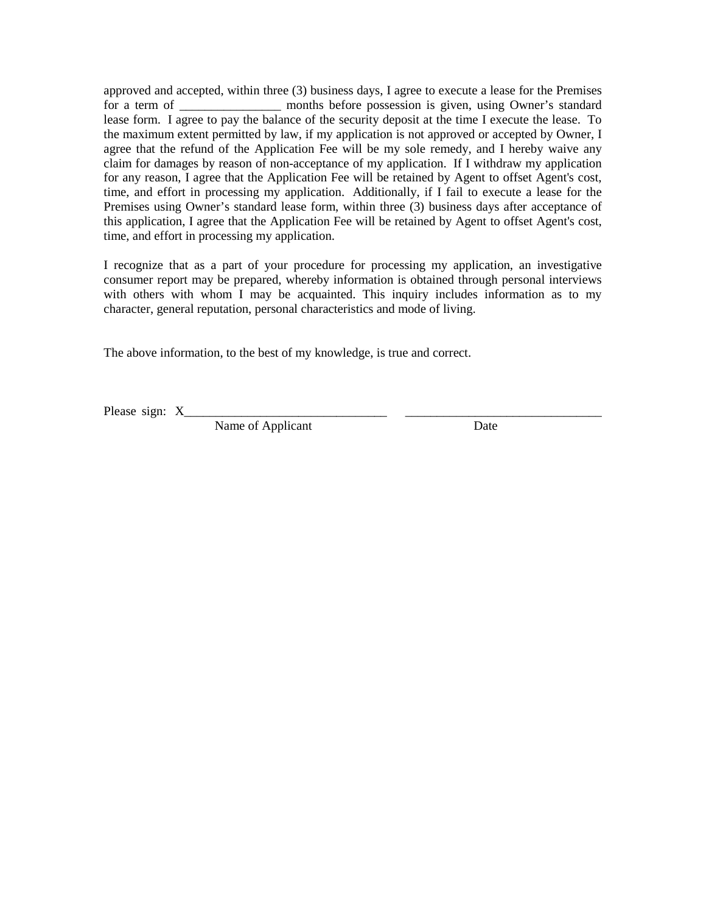approved and accepted, within three (3) business days, I agree to execute a lease for the Premises for a term of \_\_\_\_\_\_\_\_\_\_\_\_\_\_\_\_\_ months before possession is given, using Owner's standard lease form. I agree to pay the balance of the security deposit at the time I execute the lease. To the maximum extent permitted by law, if my application is not approved or accepted by Owner, I agree that the refund of the Application Fee will be my sole remedy, and I hereby waive any claim for damages by reason of non-acceptance of my application. If I withdraw my application for any reason, I agree that the Application Fee will be retained by Agent to offset Agent's cost, time, and effort in processing my application. Additionally, if I fail to execute a lease for the Premises using Owner's standard lease form, within three (3) business days after acceptance of this application, I agree that the Application Fee will be retained by Agent to offset Agent's cost, time, and effort in processing my application.

I recognize that as a part of your procedure for processing my application, an investigative consumer report may be prepared, whereby information is obtained through personal interviews with others with whom I may be acquainted. This inquiry includes information as to my character, general reputation, personal characteristics and mode of living.

The above information, to the best of my knowledge, is true and correct.

Please sign: X

Name of Applicant Date